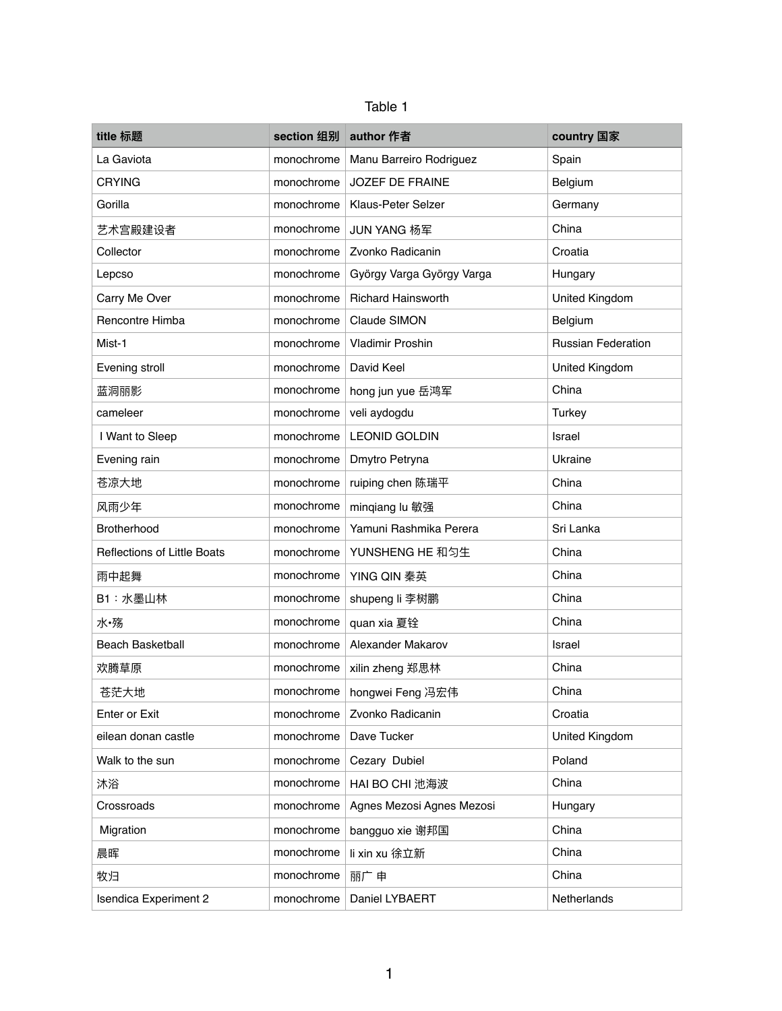| Table |  |
|-------|--|
|-------|--|

| title 标题                           | section 组别 | author 作者                 | country 国家                |
|------------------------------------|------------|---------------------------|---------------------------|
| La Gaviota                         | monochrome | Manu Barreiro Rodriguez   | Spain                     |
| <b>CRYING</b>                      | monochrome | <b>JOZEF DE FRAINE</b>    | Belgium                   |
| Gorilla                            | monochrome | Klaus-Peter Selzer        | Germany                   |
| 艺术宫殿建设者                            | monochrome | JUN YANG 杨军               | China                     |
| Collector                          | monochrome | Zvonko Radicanin          | Croatia                   |
| Lepcso                             | monochrome | György Varga György Varga | Hungary                   |
| Carry Me Over                      | monochrome | <b>Richard Hainsworth</b> | United Kingdom            |
| Rencontre Himba                    | monochrome | Claude SIMON              | Belgium                   |
| Mist-1                             | monochrome | <b>Vladimir Proshin</b>   | <b>Russian Federation</b> |
| Evening stroll                     | monochrome | David Keel                | United Kingdom            |
| 蓝洞丽影                               | monochrome | hong jun yue 岳鸿军          | China                     |
| cameleer                           | monochrome | veli aydogdu              | <b>Turkey</b>             |
| I Want to Sleep                    | monochrome | <b>LEONID GOLDIN</b>      | Israel                    |
| Evening rain                       | monochrome | Dmytro Petryna            | Ukraine                   |
| 苍凉大地                               | monochrome | ruiping chen 陈瑞平          | China                     |
| 风雨少年                               | monochrome | minqiang lu 敏强            | China                     |
| Brotherhood                        | monochrome | Yamuni Rashmika Perera    | Sri Lanka                 |
| <b>Reflections of Little Boats</b> | monochrome | YUNSHENG HE 和匀生           | China                     |
| 雨中起舞                               | monochrome | YING QIN 秦英               | China                     |
| B1:水墨山林                            | monochrome | shupeng li 李树鹏            | China                     |
| 水·殇                                | monochrome | quan xia 夏铨               | China                     |
| <b>Beach Basketball</b>            | monochrome | Alexander Makarov         | Israel                    |
| 欢腾草原                               | monochrome | xilin zheng 郑思林           | China                     |
| 苍茫大地                               | monochrome | hongwei Feng 冯宏伟          | China                     |
| <b>Enter or Exit</b>               | monochrome | Zvonko Radicanin          | Croatia                   |
| eilean donan castle                | monochrome | Dave Tucker               | United Kingdom            |
| Walk to the sun                    | monochrome | Cezary Dubiel             | Poland                    |
| 沐浴                                 | monochrome | HAI BO CHI 池海波            | China                     |
| Crossroads                         | monochrome | Agnes Mezosi Agnes Mezosi | Hungary                   |
| Migration                          | monochrome | bangguo xie 谢邦国           | China                     |
| 晨晖                                 | monochrome | li xin xu 徐立新             | China                     |
| 牧归                                 | monochrome | 丽广申                       | China                     |
| <b>Isendica Experiment 2</b>       | monochrome | Daniel LYBAERT            | Netherlands               |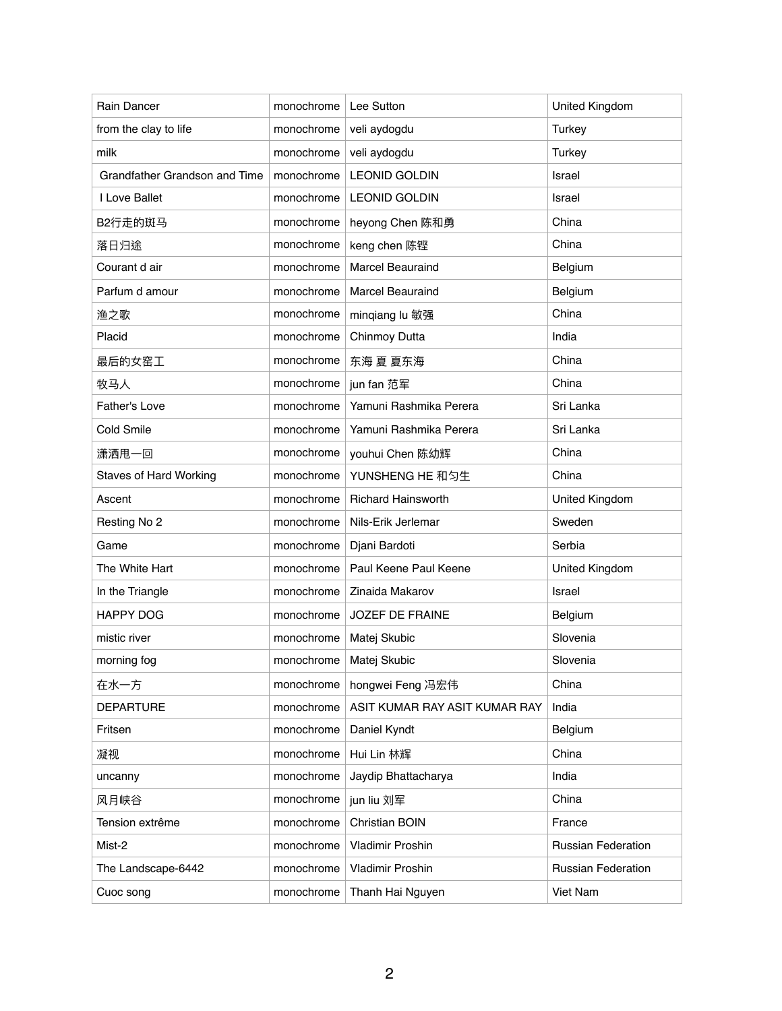| Rain Dancer                          | monochrome | Lee Sutton                    | United Kingdom            |
|--------------------------------------|------------|-------------------------------|---------------------------|
| from the clay to life                | monochrome | veli aydogdu                  | <b>Turkey</b>             |
| milk                                 | monochrome | veli aydogdu                  | <b>Turkey</b>             |
| <b>Grandfather Grandson and Time</b> | monochrome | <b>LEONID GOLDIN</b>          | Israel                    |
| I Love Ballet                        | monochrome | <b>LEONID GOLDIN</b>          | Israel                    |
| B2行走的斑马                              | monochrome | heyong Chen 陈和勇               | China                     |
| 落日归途                                 | monochrome | keng chen 陈铿                  | China                     |
| Courant d air                        | monochrome | <b>Marcel Beauraind</b>       | Belgium                   |
| Parfum d amour                       | monochrome | <b>Marcel Beauraind</b>       | Belgium                   |
| 渔之歌                                  | monochrome | minqiang lu 敏强                | China                     |
| Placid                               | monochrome | <b>Chinmoy Dutta</b>          | India                     |
| 最后的女窑工                               | monochrome | 东海 夏 夏东海                      | China                     |
| 牧马人                                  | monochrome | jun fan 范军                    | China                     |
| <b>Father's Love</b>                 | monochrome | Yamuni Rashmika Perera        | Sri Lanka                 |
| <b>Cold Smile</b>                    | monochrome | Yamuni Rashmika Perera        | Sri Lanka                 |
| 潇洒甩一回                                | monochrome | youhui Chen 陈幼辉               | China                     |
| <b>Staves of Hard Working</b>        | monochrome | YUNSHENG HE 和匀生               | China                     |
| Ascent                               | monochrome | <b>Richard Hainsworth</b>     | United Kingdom            |
| Resting No 2                         | monochrome | Nils-Erik Jerlemar            | Sweden                    |
| Game                                 | monochrome | Djani Bardoti                 | Serbia                    |
| The White Hart                       | monochrome | Paul Keene Paul Keene         | United Kingdom            |
| In the Triangle                      | monochrome | Zinaida Makarov               | Israel                    |
| <b>HAPPY DOG</b>                     | monochrome | <b>JOZEF DE FRAINE</b>        | Belgium                   |
| mistic river                         | monochrome | Matej Skubic                  | Slovenia                  |
| morning fog                          | monochrome | Matej Skubic                  | Slovenia                  |
| 在水一方                                 | monochrome | hongwei Feng 冯宏伟              | China                     |
| <b>DEPARTURE</b>                     | monochrome | ASIT KUMAR RAY ASIT KUMAR RAY | India                     |
| Fritsen                              | monochrome | Daniel Kyndt                  | Belgium                   |
| 凝视                                   | monochrome | Hui Lin 林辉                    | China                     |
| uncanny                              | monochrome | Jaydip Bhattacharya           | India                     |
| 风月峡谷                                 | monochrome | jun liu 刘军                    | China                     |
| Tension extrême                      | monochrome | <b>Christian BOIN</b>         | France                    |
| Mist-2                               | monochrome | Vladimir Proshin              | <b>Russian Federation</b> |
| The Landscape-6442                   | monochrome | Vladimir Proshin              | <b>Russian Federation</b> |
| Cuoc song                            | monochrome | Thanh Hai Nguyen              | Viet Nam                  |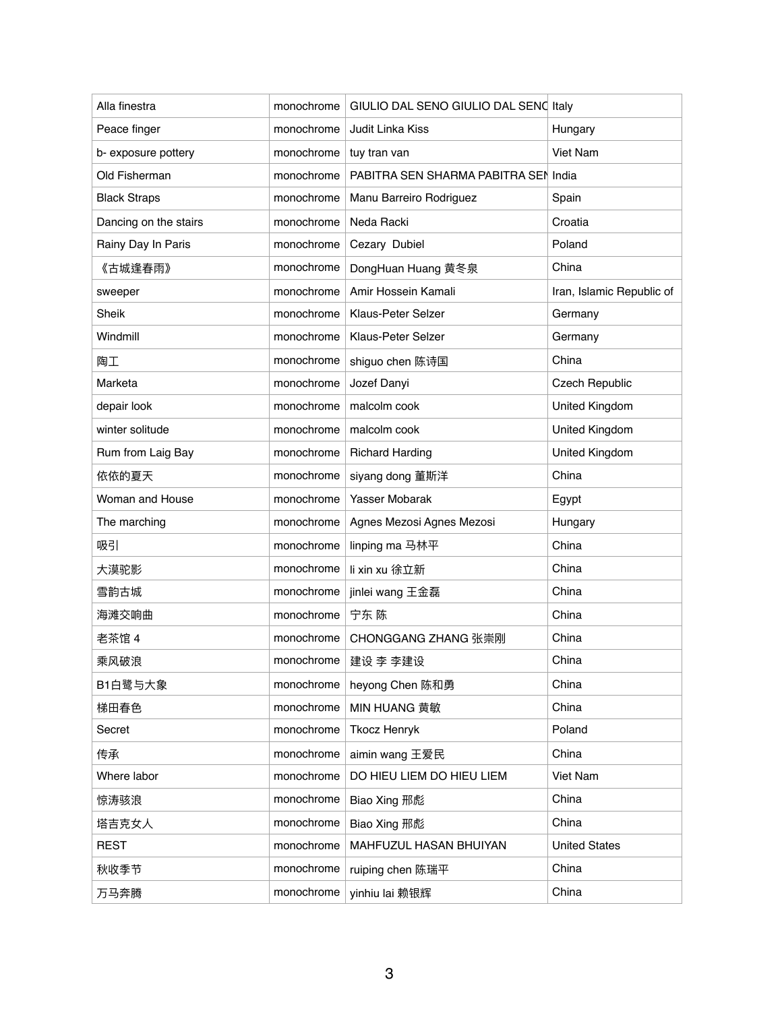| Alla finestra         | monochrome | GIULIO DAL SENO GIULIO DAL SENO Italy |                           |
|-----------------------|------------|---------------------------------------|---------------------------|
| Peace finger          | monochrome | Judit Linka Kiss                      | Hungary                   |
| b- exposure pottery   | monochrome | tuy tran van                          | Viet Nam                  |
| Old Fisherman         | monochrome | PABITRA SEN SHARMA PABITRA SEN India  |                           |
| <b>Black Straps</b>   | monochrome | Manu Barreiro Rodriguez               | Spain                     |
| Dancing on the stairs | monochrome | Neda Racki                            | Croatia                   |
| Rainy Day In Paris    | monochrome | Cezary Dubiel                         | Poland                    |
| 《古城逢春雨》               | monochrome | DongHuan Huang 黄冬泉                    | China                     |
| sweeper               | monochrome | Amir Hossein Kamali                   | Iran, Islamic Republic of |
| Sheik                 | monochrome | Klaus-Peter Selzer                    | Germany                   |
| Windmill              | monochrome | Klaus-Peter Selzer                    | Germany                   |
| 陶工                    | monochrome | shiguo chen 陈诗国                       | China                     |
| Marketa               | monochrome | Jozef Danyi                           | <b>Czech Republic</b>     |
| depair look           | monochrome | malcolm cook                          | <b>United Kingdom</b>     |
| winter solitude       | monochrome | malcolm cook                          | United Kingdom            |
| Rum from Laig Bay     | monochrome | <b>Richard Harding</b>                | United Kingdom            |
| 依依的夏天                 | monochrome | siyang dong 董斯洋                       | China                     |
| Woman and House       | monochrome | Yasser Mobarak                        | Egypt                     |
| The marching          | monochrome | Agnes Mezosi Agnes Mezosi             | Hungary                   |
| 吸引                    | monochrome | linping ma 马林平                        | China                     |
| 大漠驼影                  | monochrome | li xin xu 徐立新                         | China                     |
| 雪韵古城                  | monochrome | jinlei wang 王金磊                       | China                     |
| 海滩交响曲                 | monochrome | 宁东 陈                                  | China                     |
| 老茶馆 4                 | monochrome | CHONGGANG ZHANG 张崇刚                   | China                     |
| 乘风破浪                  | monochrome | 建设 李 李建设                              | China                     |
| B1白鹭与大象               | monochrome | heyong Chen 陈和勇                       | China                     |
| 梯田春色                  | monochrome | <b>MIN HUANG 黄敏</b>                   | China                     |
| Secret                | monochrome | <b>Tkocz Henryk</b>                   | Poland                    |
| 传承                    | monochrome | aimin wang 王爱民                        | China                     |
| Where labor           | monochrome | DO HIEU LIEM DO HIEU LIEM             | Viet Nam                  |
| 惊涛骇浪                  | monochrome | Biao Xing 邢彪                          | China                     |
| 塔吉克女人                 | monochrome | Biao Xing 邢彪                          | China                     |
| <b>REST</b>           | monochrome | MAHFUZUL HASAN BHUIYAN                | <b>United States</b>      |
| 秋收季节                  | monochrome | ruiping chen 陈瑞平                      | China                     |
| 万马奔腾                  | monochrome | yinhiu lai 赖银辉                        | China                     |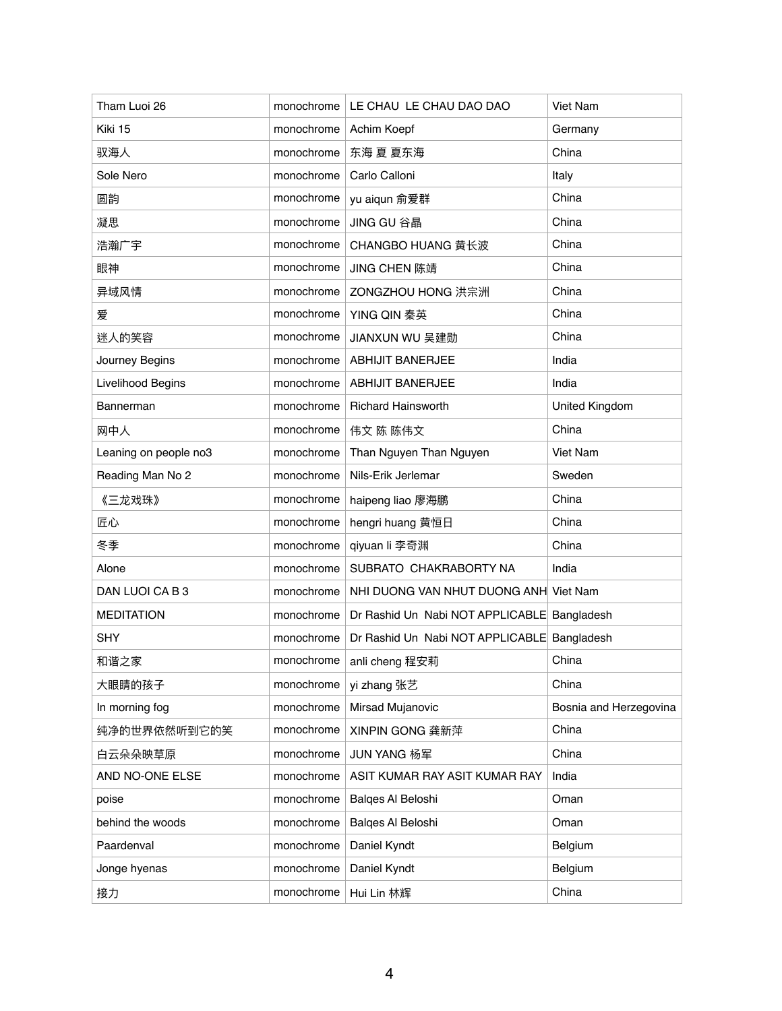| Tham Luoi 26          | monochrome | LE CHAU LE CHAU DAO DAO                     | Viet Nam               |
|-----------------------|------------|---------------------------------------------|------------------------|
| Kiki 15               | monochrome | Achim Koepf                                 | Germany                |
| 驭海人                   | monochrome | 东海 夏 夏东海                                    | China                  |
| Sole Nero             | monochrome | Carlo Calloni                               | Italy                  |
| 圆韵                    | monochrome | yu aiqun 俞爱群                                | China                  |
| 凝思                    | monochrome | JING GU 谷晶                                  | China                  |
| 浩瀚广宇                  | monochrome | CHANGBO HUANG 黄长波                           | China                  |
| 眼神                    | monochrome | JING CHEN 陈靖                                | China                  |
| 异域风情                  | monochrome | ZONGZHOU HONG 洪宗洲                           | China                  |
| 爱                     | monochrome | YING QIN 秦英                                 | China                  |
| 迷人的笑容                 | monochrome | JIANXUN WU 吴建勋                              | China                  |
| Journey Begins        | monochrome | <b>ABHIJIT BANERJEE</b>                     | India                  |
| Livelihood Begins     | monochrome | <b>ABHIJIT BANERJEE</b>                     | India                  |
| Bannerman             | monochrome | <b>Richard Hainsworth</b>                   | <b>United Kingdom</b>  |
| 网中人                   | monochrome | 伟文 陈 陈伟文                                    | China                  |
| Leaning on people no3 | monochrome | Than Nguyen Than Nguyen                     | Viet Nam               |
| Reading Man No 2      | monochrome | Nils-Erik Jerlemar                          | Sweden                 |
| 《三龙戏珠》                | monochrome | haipeng liao 廖海鹏                            | China                  |
| 匠心                    | monochrome | hengri huang 黄恒日                            | China                  |
| 冬季                    | monochrome | qiyuan li 李奇渊                               | China                  |
| Alone                 | monochrome | SUBRATO CHAKRABORTY NA                      | India                  |
| DAN LUOI CAB3         | monochrome | NHI DUONG VAN NHUT DUONG ANH Viet Nam       |                        |
| <b>MEDITATION</b>     | monochrome | Dr Rashid Un Nabi NOT APPLICABLE Bangladesh |                        |
| <b>SHY</b>            | monochrome | Dr Rashid Un Nabi NOT APPLICABLE Bangladesh |                        |
| 和谐之家                  | monochrome | anli cheng 程安莉                              | China                  |
| 大眼睛的孩子                | monochrome | yi zhang 张艺                                 | China                  |
| In morning fog        | monochrome | Mirsad Mujanovic                            | Bosnia and Herzegovina |
| 纯净的世界依然听到它的笑          | monochrome | XINPIN GONG 龚新萍                             | China                  |
| 白云朵朵映草原               | monochrome | JUN YANG 杨军                                 | China                  |
| AND NO-ONE ELSE       | monochrome | ASIT KUMAR RAY ASIT KUMAR RAY               | India                  |
| poise                 | monochrome | Balges Al Beloshi                           | Oman                   |
| behind the woods      | monochrome | Balges Al Beloshi                           | Oman                   |
| Paardenval            | monochrome | Daniel Kyndt                                | Belgium                |
| Jonge hyenas          | monochrome | Daniel Kyndt                                | Belgium                |
| 接力                    | monochrome | Hui Lin 林辉                                  | China                  |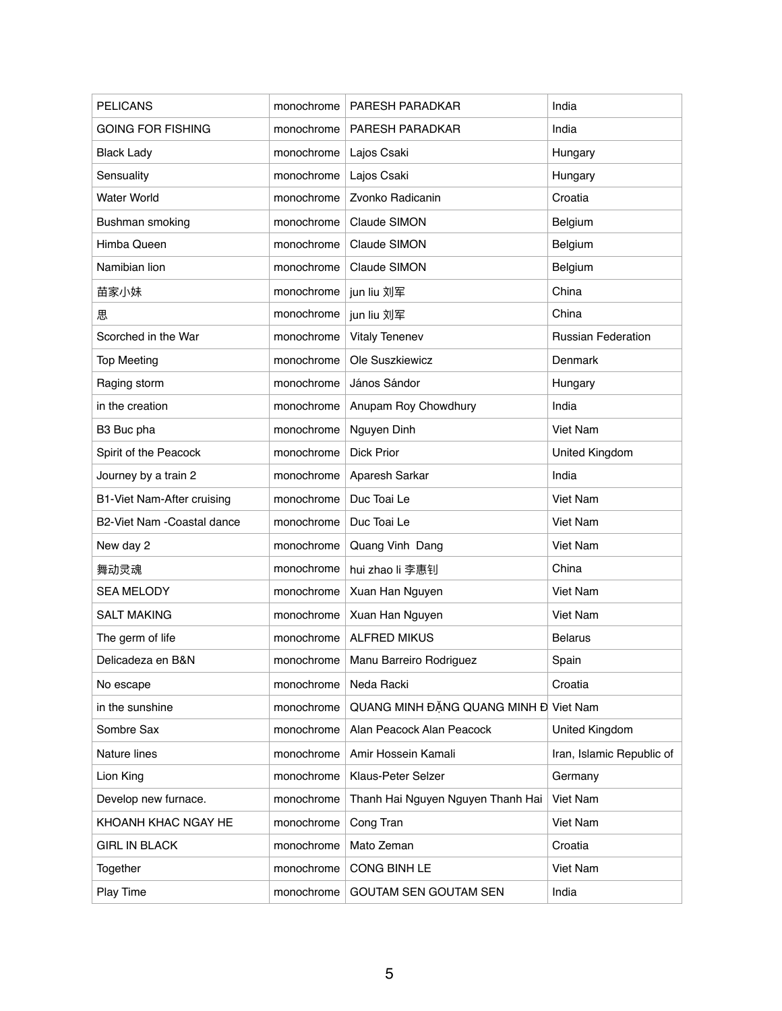| <b>PELICANS</b>            | monochrome | PARESH PARADKAR                       | India                     |
|----------------------------|------------|---------------------------------------|---------------------------|
| <b>GOING FOR FISHING</b>   | monochrome | PARESH PARADKAR                       | India                     |
| <b>Black Lady</b>          | monochrome | Lajos Csaki                           | Hungary                   |
| Sensuality                 | monochrome | Lajos Csaki                           | Hungary                   |
| <b>Water World</b>         | monochrome | Zvonko Radicanin                      | Croatia                   |
| Bushman smoking            | monochrome | Claude SIMON                          | Belgium                   |
| Himba Queen                | monochrome | Claude SIMON                          | Belgium                   |
| Namibian lion              | monochrome | Claude SIMON                          | Belgium                   |
| 苗家小妹                       | monochrome | jun liu 刘军                            | China                     |
| 思                          | monochrome | jun liu 刘军                            | China                     |
| Scorched in the War        | monochrome | <b>Vitaly Tenenev</b>                 | <b>Russian Federation</b> |
| <b>Top Meeting</b>         | monochrome | Ole Suszkiewicz                       | Denmark                   |
| Raging storm               | monochrome | János Sándor                          | Hungary                   |
| in the creation            | monochrome | Anupam Roy Chowdhury                  | India                     |
| B3 Buc pha                 | monochrome | Nguyen Dinh                           | Viet Nam                  |
| Spirit of the Peacock      | monochrome | <b>Dick Prior</b>                     | United Kingdom            |
| Journey by a train 2       | monochrome | Aparesh Sarkar                        | India                     |
| B1-Viet Nam-After cruising | monochrome | Duc Toai Le                           | Viet Nam                  |
| B2-Viet Nam -Coastal dance | monochrome | Duc Toai Le                           | Viet Nam                  |
| New day 2                  | monochrome | Quang Vinh Dang                       | Viet Nam                  |
| 舞动灵魂                       | monochrome | hui zhao li 李惠钊                       | China                     |
| <b>SEA MELODY</b>          | monochrome | Xuan Han Nguyen                       | <b>Viet Nam</b>           |
| <b>SALT MAKING</b>         | monochrome | Xuan Han Nguyen                       | Viet Nam                  |
| The germ of life           | monochrome | <b>ALFRED MIKUS</b>                   | <b>Belarus</b>            |
| Delicadeza en B&N          | monochrome | Manu Barreiro Rodriguez               | Spain                     |
| No escape                  | monochrome | Neda Racki                            | Croatia                   |
| in the sunshine            | monochrome | QUANG MINH ĐẶNG QUANG MINH Đ Viet Nam |                           |
| Sombre Sax                 | monochrome | Alan Peacock Alan Peacock             | United Kingdom            |
| Nature lines               | monochrome | Amir Hossein Kamali                   | Iran, Islamic Republic of |
| Lion King                  | monochrome | Klaus-Peter Selzer                    | Germany                   |
| Develop new furnace.       | monochrome | Thanh Hai Nguyen Nguyen Thanh Hai     | Viet Nam                  |
| KHOANH KHAC NGAY HE        | monochrome | Cong Tran                             | Viet Nam                  |
| <b>GIRL IN BLACK</b>       | monochrome | Mato Zeman                            | Croatia                   |
| Together                   | monochrome | <b>CONG BINH LE</b>                   | Viet Nam                  |
| Play Time                  | monochrome | <b>GOUTAM SEN GOUTAM SEN</b>          | India                     |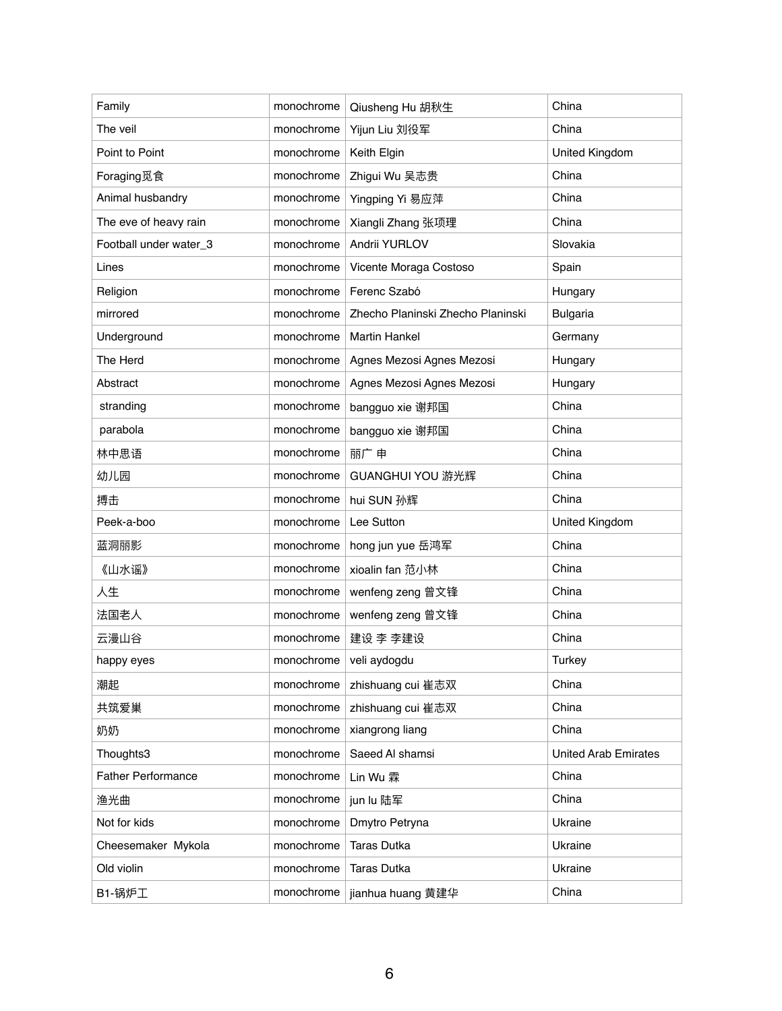| Family                    | monochrome | Qiusheng Hu 胡秋生                   | China                       |
|---------------------------|------------|-----------------------------------|-----------------------------|
| The veil                  | monochrome | Yijun Liu 刘役军                     | China                       |
| Point to Point            | monochrome | Keith Elgin                       | United Kingdom              |
| Foraging觅食                | monochrome | Zhigui Wu 吴志贵                     | China                       |
| Animal husbandry          | monochrome | Yingping Yi 易应萍                   | China                       |
| The eve of heavy rain     | monochrome | Xiangli Zhang 张项理                 | China                       |
| Football under water_3    | monochrome | Andrii YURLOV                     | Slovakia                    |
| Lines                     | monochrome | Vicente Moraga Costoso            | Spain                       |
| Religion                  | monochrome | Ferenc Szabó                      | Hungary                     |
| mirrored                  | monochrome | Zhecho Planinski Zhecho Planinski | <b>Bulgaria</b>             |
| Underground               | monochrome | <b>Martin Hankel</b>              | Germany                     |
| The Herd                  | monochrome | Agnes Mezosi Agnes Mezosi         | Hungary                     |
| Abstract                  | monochrome | Agnes Mezosi Agnes Mezosi         | Hungary                     |
| stranding                 | monochrome | bangguo xie 谢邦国                   | China                       |
| parabola                  | monochrome | bangguo xie 谢邦国                   | China                       |
| 林中思语                      | monochrome | 丽广申                               | China                       |
| 幼儿园                       | monochrome | GUANGHUI YOU 游光辉                  | China                       |
| 搏击                        | monochrome | hui SUN 孙辉                        | China                       |
| Peek-a-boo                | monochrome | Lee Sutton                        | United Kingdom              |
| 蓝洞丽影                      | monochrome | hong jun yue 岳鸿军                  | China                       |
| 《山水谣》                     | monochrome | xioalin fan 范小林                   | China                       |
| 人生                        | monochrome | wenfeng zeng 曾文锋                  | China                       |
| 法国老人                      | monochrome | wenfeng zeng 曾文锋                  | China                       |
| 云漫山谷                      | monochrome | 建设 李 李建设                          | China                       |
| happy eyes                | monochrome | veli aydogdu                      | <b>Turkey</b>               |
| 潮起                        | monochrome | zhishuang cui 崔志双                 | China                       |
| 共筑爱巢                      | monochrome | zhishuang cui 崔志双                 | China                       |
| 奶奶                        | monochrome | xiangrong liang                   | China                       |
| Thoughts3                 | monochrome | Saeed Al shamsi                   | <b>United Arab Emirates</b> |
| <b>Father Performance</b> | monochrome | Lin Wu 霖                          | China                       |
| 渔光曲                       | monochrome | jun lu 陆军                         | China                       |
| Not for kids              | monochrome | Dmytro Petryna                    | Ukraine                     |
| Cheesemaker Mykola        | monochrome | <b>Taras Dutka</b>                | Ukraine                     |
| Old violin                | monochrome | <b>Taras Dutka</b>                | Ukraine                     |
| B1-锅炉工                    | monochrome | jianhua huang 黄建华                 | China                       |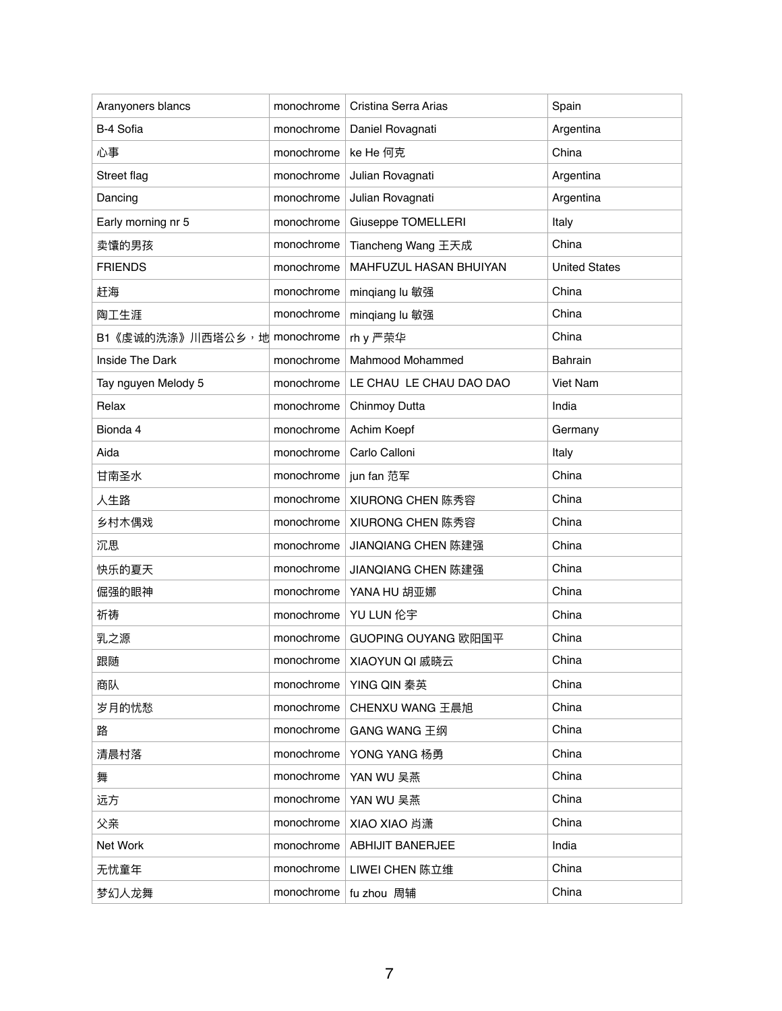| Aranyoners blancs            | monochrome | Cristina Serra Arias    | Spain                |
|------------------------------|------------|-------------------------|----------------------|
| B-4 Sofia                    | monochrome | Daniel Rovagnati        | Argentina            |
| 心事                           | monochrome | ke He 何克                | China                |
| Street flag                  | monochrome | Julian Rovagnati        | Argentina            |
| Dancing                      | monochrome | Julian Rovagnati        | Argentina            |
| Early morning nr 5           | monochrome | Giuseppe TOMELLERI      | Italy                |
| 卖馕的男孩                        | monochrome | Tiancheng Wang 王天成      | China                |
| <b>FRIENDS</b>               | monochrome | MAHFUZUL HASAN BHUIYAN  | <b>United States</b> |
| 赶海                           | monochrome | minqiang lu 敏强          | China                |
| 陶工生涯                         | monochrome | minqiang lu 敏强          | China                |
| B1《虔诚的洗涤》川西塔公乡, 地 monochrome |            | rh y 严荣华                | China                |
| Inside The Dark              | monochrome | Mahmood Mohammed        | <b>Bahrain</b>       |
| Tay nguyen Melody 5          | monochrome | LE CHAU LE CHAU DAO DAO | Viet Nam             |
| Relax                        | monochrome | Chinmoy Dutta           | India                |
| Bionda 4                     | monochrome | Achim Koepf             | Germany              |
| Aida                         | monochrome | Carlo Calloni           | Italy                |
| 甘南圣水                         | monochrome | jun fan 范军              | China                |
| 人生路                          | monochrome | XIURONG CHEN 陈秀容        | China                |
| 乡村木偶戏                        | monochrome | XIURONG CHEN 陈秀容        | China                |
| 沉思                           | monochrome | JIANQIANG CHEN 陈建强      | China                |
| 快乐的夏天                        | monochrome | JIANQIANG CHEN 陈建强      | China                |
| 倔强的眼神                        | monochrome | YANA HU 胡亚娜             | China                |
| 祈祷                           |            | monochrome   YU LUN 伦宇  | China                |
| 乳之源                          | monochrome | GUOPING OUYANG 欧阳国平     | China                |
| 跟随                           | monochrome | XIAOYUN QI 戚晓云          | China                |
| 商队                           | monochrome | YING QIN 秦英             | China                |
| 岁月的忧愁                        | monochrome | CHENXU WANG 王晨旭         | China                |
| 路                            | monochrome | GANG WANG 王纲            | China                |
| 清晨村落                         | monochrome | YONG YANG 杨勇            | China                |
| 舞                            | monochrome | YAN WU 吴燕               | China                |
| 远方                           | monochrome | YAN WU 吴燕               | China                |
| 父亲                           | monochrome | XIAO XIAO 肖潇            | China                |
| Net Work                     | monochrome | <b>ABHIJIT BANERJEE</b> | India                |
| 无忧童年                         | monochrome | LIWEI CHEN 陈立维          | China                |
| 梦幻人龙舞                        | monochrome | fu zhou 周辅              | China                |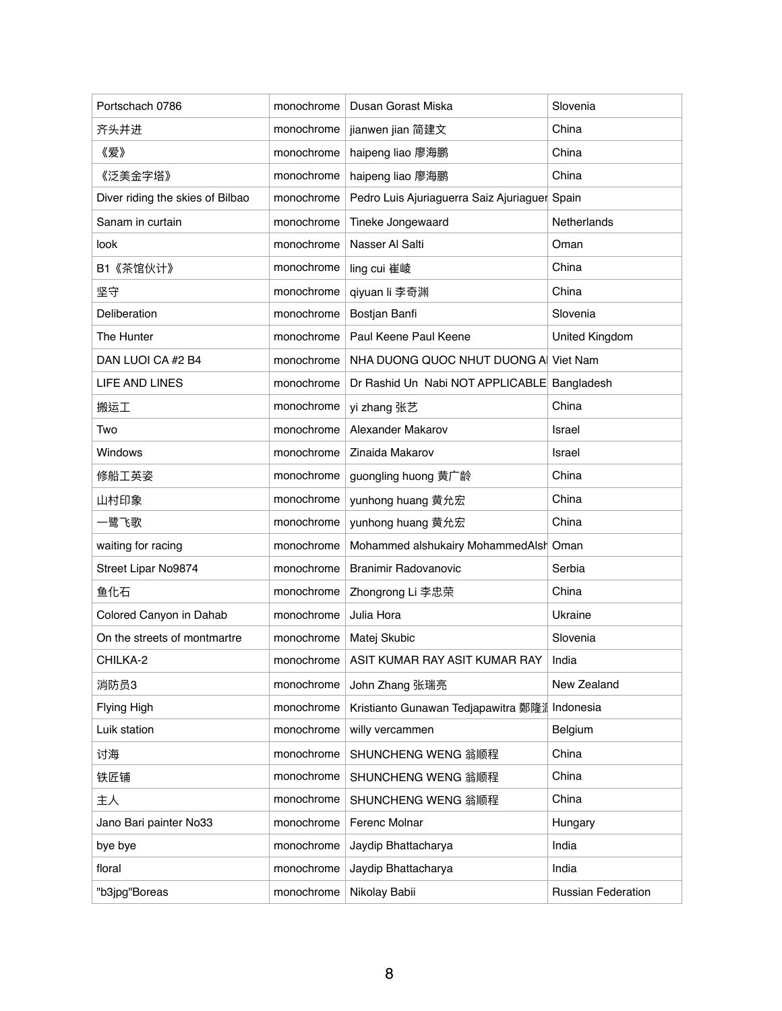| Portschach 0786                  | monochrome | Dusan Gorast Miska                            | Slovenia                  |
|----------------------------------|------------|-----------------------------------------------|---------------------------|
| 齐头并进                             | monochrome | jianwen jian 简建文                              | China                     |
| 《爱》                              | monochrome | haipeng liao 廖海鹏                              | China                     |
| 《泛美金字塔》                          | monochrome | haipeng liao 廖海鹏                              | China                     |
| Diver riding the skies of Bilbao | monochrome | Pedro Luis Ajuriaguerra Saiz Ajuriaguer Spain |                           |
| Sanam in curtain                 | monochrome | Tineke Jongewaard                             | Netherlands               |
| look                             | monochrome | Nasser Al Salti                               | Oman                      |
| B1《茶馆伙计》                         | monochrome | ling cui 崔崚                                   | China                     |
| 坚守                               | monochrome | qiyuan li 李奇渊                                 | China                     |
| Deliberation                     | monochrome | Bostjan Banfi                                 | Slovenia                  |
| The Hunter                       | monochrome | Paul Keene Paul Keene                         | United Kingdom            |
| DAN LUOI CA #2 B4                | monochrome | NHA DUONG QUOC NHUT DUONG A Viet Nam          |                           |
| <b>LIFE AND LINES</b>            | monochrome | Dr Rashid Un Nabi NOT APPLICABLE Bangladesh   |                           |
| 搬运工                              | monochrome | yi zhang 张艺                                   | China                     |
| Two                              | monochrome | Alexander Makarov                             | Israel                    |
| Windows                          | monochrome | Zinaida Makarov                               | Israel                    |
| 修船工英姿                            | monochrome | guongling huong 黄广龄                           | China                     |
| 山村印象                             | monochrome | yunhong huang 黄允宏                             | China                     |
| 一鹭飞歌                             | monochrome | yunhong huang 黄允宏                             | China                     |
| waiting for racing               | monochrome | Mohammed alshukairy MohammedAlsh Oman         |                           |
| Street Lipar No9874              | monochrome | <b>Branimir Radovanovic</b>                   | Serbia                    |
| 鱼化石                              | monochrome | Zhongrong Li 李忠荣                              | China                     |
| Colored Canyon in Dahab          | monochrome | Julia Hora                                    | Ukraine                   |
| On the streets of montmartre     | monochrome | Matej Skubic                                  | Slovenia                  |
| CHILKA-2                         | monochrome | ASIT KUMAR RAY ASIT KUMAR RAY                 | India                     |
| 消防员3                             | monochrome | John Zhang 张瑞亮                                | New Zealand               |
| Flying High                      | monochrome | Kristianto Gunawan Tedjapawitra 鄭隆洲           | Indonesia                 |
| Luik station                     | monochrome | willy vercammen                               | Belgium                   |
| 讨海                               | monochrome | SHUNCHENG WENG 翁顺程                            | China                     |
| 铁匠铺                              | monochrome | SHUNCHENG WENG 翁顺程                            | China                     |
| 主人                               | monochrome | SHUNCHENG WENG 翁顺程                            | China                     |
| Jano Bari painter No33           | monochrome | Ferenc Molnar                                 | Hungary                   |
| bye bye                          | monochrome | Jaydip Bhattacharya                           | India                     |
| floral                           | monochrome | Jaydip Bhattacharya                           | India                     |
| "b3jpg"Boreas                    | monochrome | Nikolay Babii                                 | <b>Russian Federation</b> |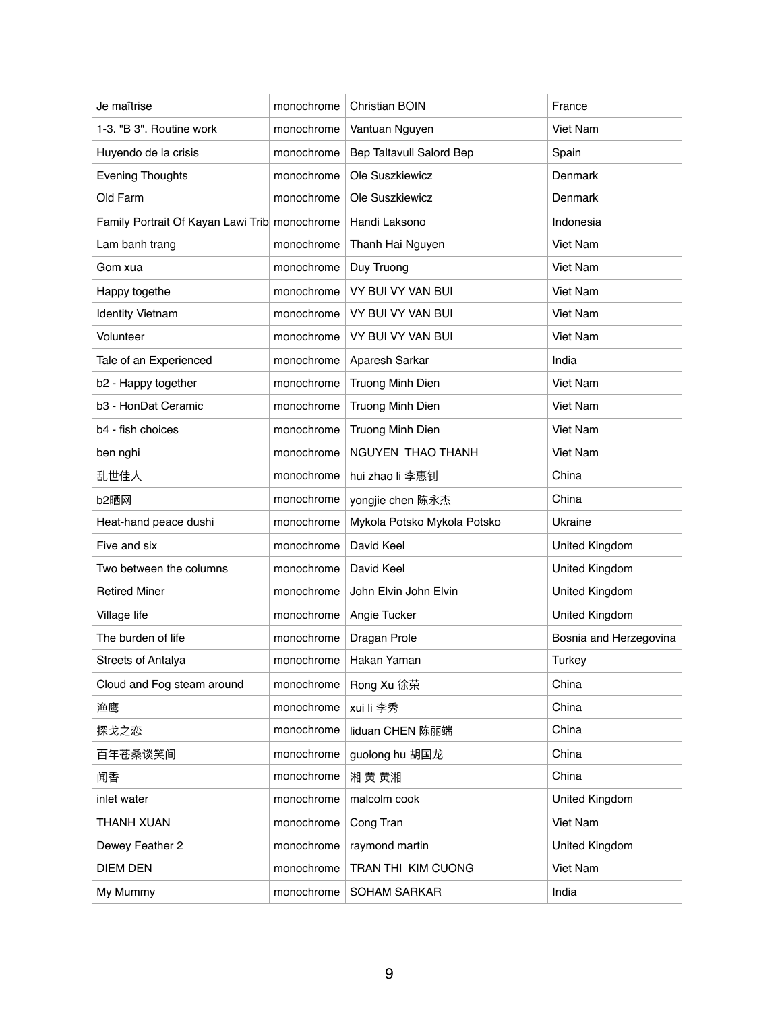| Je maîtrise                                   | monochrome | <b>Christian BOIN</b>       | France                 |
|-----------------------------------------------|------------|-----------------------------|------------------------|
| 1-3. "B 3". Routine work                      | monochrome | Vantuan Nguyen              | Viet Nam               |
| Huyendo de la crisis                          | monochrome | Bep Taltavull Salord Bep    | Spain                  |
| <b>Evening Thoughts</b>                       | monochrome | Ole Suszkiewicz             | Denmark                |
| Old Farm                                      | monochrome | Ole Suszkiewicz             | Denmark                |
| Family Portrait Of Kayan Lawi Trib monochrome |            | Handi Laksono               | Indonesia              |
| Lam banh trang                                | monochrome | Thanh Hai Nguyen            | <b>Viet Nam</b>        |
| Gom xua                                       | monochrome | Duy Truong                  | Viet Nam               |
| Happy togethe                                 | monochrome | VY BUI VY VAN BUI           | <b>Viet Nam</b>        |
| <b>Identity Vietnam</b>                       | monochrome | VY BUI VY VAN BUI           | <b>Viet Nam</b>        |
| Volunteer                                     | monochrome | VY BUI VY VAN BUI           | Viet Nam               |
| Tale of an Experienced                        | monochrome | Aparesh Sarkar              | India                  |
| b2 - Happy together                           | monochrome | <b>Truong Minh Dien</b>     | <b>Viet Nam</b>        |
| b3 - HonDat Ceramic                           | monochrome | Truong Minh Dien            | Viet Nam               |
| b4 - fish choices                             | monochrome | Truong Minh Dien            | <b>Viet Nam</b>        |
| ben nghi                                      | monochrome | NGUYEN THAO THANH           | Viet Nam               |
| 乱世佳人                                          | monochrome | hui zhao li 李惠钊             | China                  |
| b2晒网                                          | monochrome | yongjie chen 陈永杰            | China                  |
| Heat-hand peace dushi                         | monochrome | Mykola Potsko Mykola Potsko | Ukraine                |
| Five and six                                  | monochrome | David Keel                  | United Kingdom         |
| Two between the columns                       | monochrome | David Keel                  | United Kingdom         |
| <b>Retired Miner</b>                          | monochrome | John Elvin John Elvin       | <b>United Kingdom</b>  |
| Village life                                  | monochrome | Angie Tucker                | United Kingdom         |
| The burden of life                            | monochrome | Dragan Prole                | Bosnia and Herzegovina |
| <b>Streets of Antalya</b>                     | monochrome | Hakan Yaman                 | <b>Turkey</b>          |
| Cloud and Fog steam around                    | monochrome | Rong Xu 徐荣                  | China                  |
| 渔鹰                                            | monochrome | xui li 李秀                   | China                  |
| 探戈之恋                                          | monochrome | liduan CHEN 陈丽端             | China                  |
| 百年苍桑谈笑间                                       | monochrome | guolong hu 胡国龙              | China                  |
| 闻香                                            | monochrome | 湘 黄 黄湘                      | China                  |
| inlet water                                   | monochrome | malcolm cook                | United Kingdom         |
| <b>THANH XUAN</b>                             | monochrome | Cong Tran                   | Viet Nam               |
| Dewey Feather 2                               | monochrome | raymond martin              | United Kingdom         |
| <b>DIEM DEN</b>                               | monochrome | TRAN THI KIM CUONG          | Viet Nam               |
| My Mummy                                      | monochrome | <b>SOHAM SARKAR</b>         | India                  |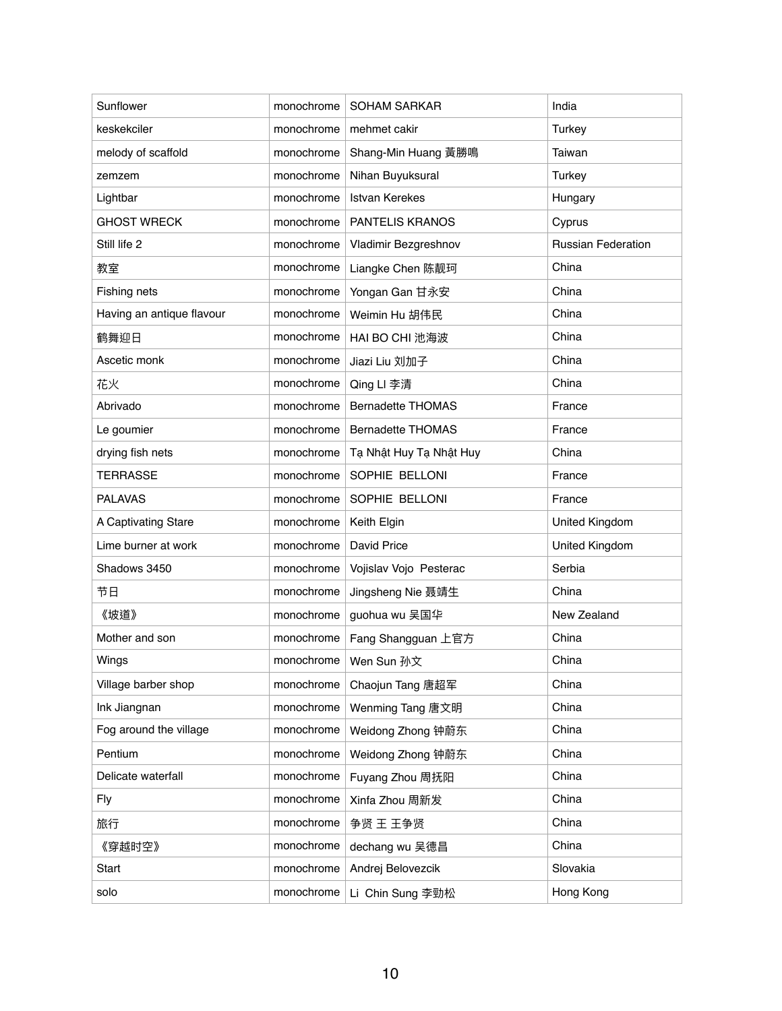| Sunflower                 | monochrome | <b>SOHAM SARKAR</b>      | India                     |
|---------------------------|------------|--------------------------|---------------------------|
| keskekciler               | monochrome | mehmet cakir             | <b>Turkey</b>             |
| melody of scaffold        | monochrome | Shang-Min Huang 黃勝鳴      | Taiwan                    |
| zemzem                    | monochrome | Nihan Buyuksural         | <b>Turkey</b>             |
| Lightbar                  | monochrome | <b>Istvan Kerekes</b>    | Hungary                   |
| <b>GHOST WRECK</b>        | monochrome | <b>PANTELIS KRANOS</b>   | Cyprus                    |
| Still life 2              | monochrome | Vladimir Bezgreshnov     | <b>Russian Federation</b> |
| 教室                        | monochrome | Liangke Chen 陈靓珂         | China                     |
| Fishing nets              | monochrome | Yongan Gan 甘永安           | China                     |
| Having an antique flavour | monochrome | Weimin Hu 胡伟民            | China                     |
| 鹤舞迎日                      | monochrome | HAI BO CHI 池海波           | China                     |
| Ascetic monk              | monochrome | Jiazi Liu 刘加子            | China                     |
| 花火                        | monochrome | Qing LI 李清               | China                     |
| Abrivado                  | monochrome | <b>Bernadette THOMAS</b> | France                    |
| Le goumier                | monochrome | <b>Bernadette THOMAS</b> | France                    |
| drying fish nets          | monochrome | Tạ Nhật Huy Tạ Nhật Huy  | China                     |
| <b>TERRASSE</b>           | monochrome | SOPHIE BELLONI           | France                    |
| <b>PALAVAS</b>            | monochrome | SOPHIE BELLONI           | France                    |
| A Captivating Stare       | monochrome | Keith Elgin              | United Kingdom            |
| Lime burner at work       | monochrome | David Price              | United Kingdom            |
| Shadows 3450              | monochrome | Vojislav Vojo Pesterac   | Serbia                    |
| 节日                        | monochrome | Jingsheng Nie 聂靖生        | China                     |
| 《坡道》                      | monochrome | guohua wu 吴国华            | New Zealand               |
| Mother and son            | monochrome | Fang Shangguan 上官方       | China                     |
| Wings                     | monochrome | Wen Sun 孙文               | China                     |
| Village barber shop       | monochrome | Chaojun Tang 唐超军         | China                     |
| Ink Jiangnan              | monochrome | Wenming Tang 唐文明         | China                     |
| Fog around the village    | monochrome | Weidong Zhong 钟蔚东        | China                     |
| Pentium                   | monochrome | Weidong Zhong 钟蔚东        | China                     |
| Delicate waterfall        | monochrome | Fuyang Zhou 周抚阳          | China                     |
| <b>Fly</b>                | monochrome | Xinfa Zhou 周新发           | China                     |
| 旅行                        | monochrome | 争贤 王 王争贤                 | China                     |
| 《穿越时空》                    | monochrome | dechang wu 吴德昌           | China                     |
| <b>Start</b>              | monochrome | Andrej Belovezcik        | Slovakia                  |
| solo                      | monochrome | Li Chin Sung 李勁松         | Hong Kong                 |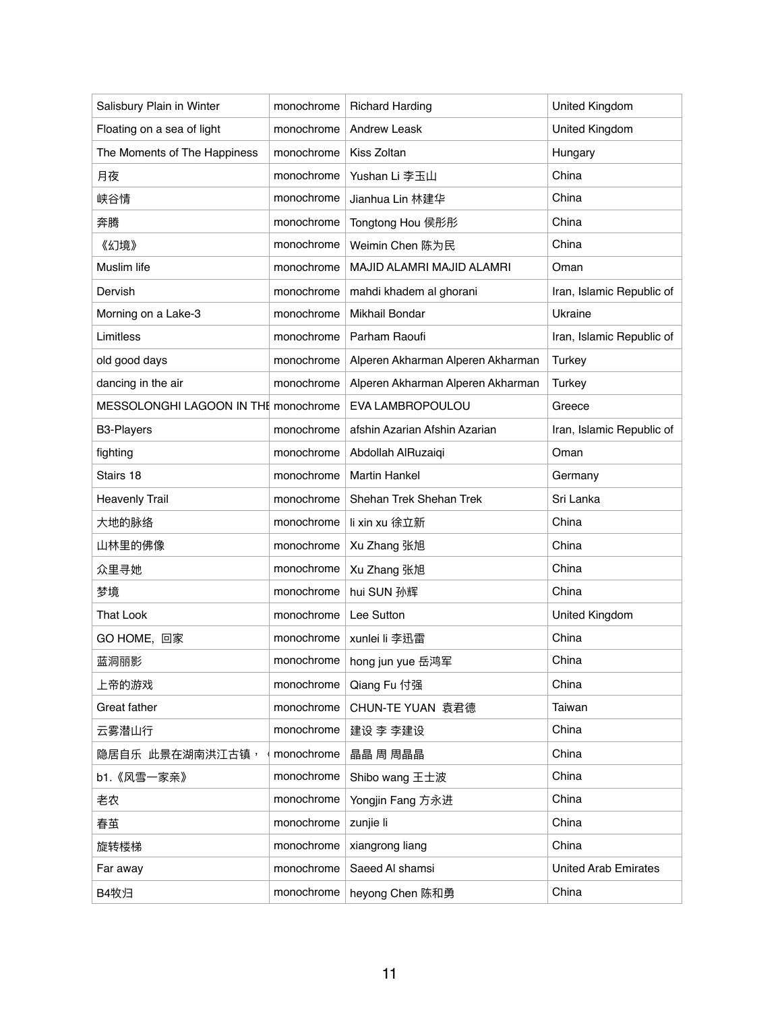| Salisbury Plain in Winter            | monochrome | <b>Richard Harding</b>            | <b>United Kingdom</b>       |
|--------------------------------------|------------|-----------------------------------|-----------------------------|
| Floating on a sea of light           | monochrome | <b>Andrew Leask</b>               | United Kingdom              |
| The Moments of The Happiness         | monochrome | Kiss Zoltan                       | Hungary                     |
| 月夜                                   | monochrome | Yushan Li 李玉山                     | China                       |
| 峡谷情                                  | monochrome | Jianhua Lin 林建华                   | China                       |
| 奔腾                                   | monochrome | Tongtong Hou 侯彤彤                  | China                       |
| 《幻境》                                 | monochrome | Weimin Chen 陈为民                   | China                       |
| Muslim life                          | monochrome | MAJID ALAMRI MAJID ALAMRI         | Oman                        |
| Dervish                              | monochrome | mahdi khadem al ghorani           | Iran, Islamic Republic of   |
| Morning on a Lake-3                  | monochrome | Mikhail Bondar                    | Ukraine                     |
| Limitless                            | monochrome | Parham Raoufi                     | Iran, Islamic Republic of   |
| old good days                        | monochrome | Alperen Akharman Alperen Akharman | <b>Turkey</b>               |
| dancing in the air                   | monochrome | Alperen Akharman Alperen Akharman | <b>Turkey</b>               |
| MESSOLONGHI LAGOON IN THE monochrome |            | EVA LAMBROPOULOU                  | Greece                      |
| <b>B3-Players</b>                    | monochrome | afshin Azarian Afshin Azarian     | Iran, Islamic Republic of   |
| fighting                             | monochrome | Abdollah AlRuzaiqi                | Oman                        |
| Stairs 18                            | monochrome | <b>Martin Hankel</b>              | Germany                     |
| <b>Heavenly Trail</b>                | monochrome | Shehan Trek Shehan Trek           | Sri Lanka                   |
| 大地的脉络                                | monochrome | li xin xu 徐立新                     | China                       |
| 山林里的佛像                               | monochrome | Xu Zhang 张旭                       | China                       |
| 众里寻她                                 | monochrome | Xu Zhang 张旭                       | China                       |
| 梦境                                   | monochrome | hui SUN 孙辉                        | China                       |
| <b>That Look</b>                     | monochrome | Lee Sutton                        | <b>United Kingdom</b>       |
| GO HOME, 回家                          | monochrome | xunlei li 李迅雷                     | China                       |
| 蓝洞丽影                                 | monochrome | hong jun yue 岳鸿军                  | China                       |
| 上帝的游戏                                | monochrome | Qiang Fu 付强                       | China                       |
| <b>Great father</b>                  | monochrome | CHUN-TE YUAN 袁君德                  | Taiwan                      |
| 云雾潜山行                                | monochrome | 建设 李 李建设                          | China                       |
| 隐居自乐 此景在湖南洪江古镇,                      | monochrome | 晶晶 周 周晶晶                          | China                       |
| b1.《风雪一家亲》                           | monochrome | Shibo wang 王士波                    | China                       |
| 老农                                   | monochrome | Yongjin Fang 方永进                  | China                       |
| 春茧                                   | monochrome | zunjie li                         | China                       |
| 旋转楼梯                                 | monochrome | xiangrong liang                   | China                       |
| Far away                             | monochrome | Saeed Al shamsi                   | <b>United Arab Emirates</b> |
| B4牧归                                 | monochrome | heyong Chen 陈和勇                   | China                       |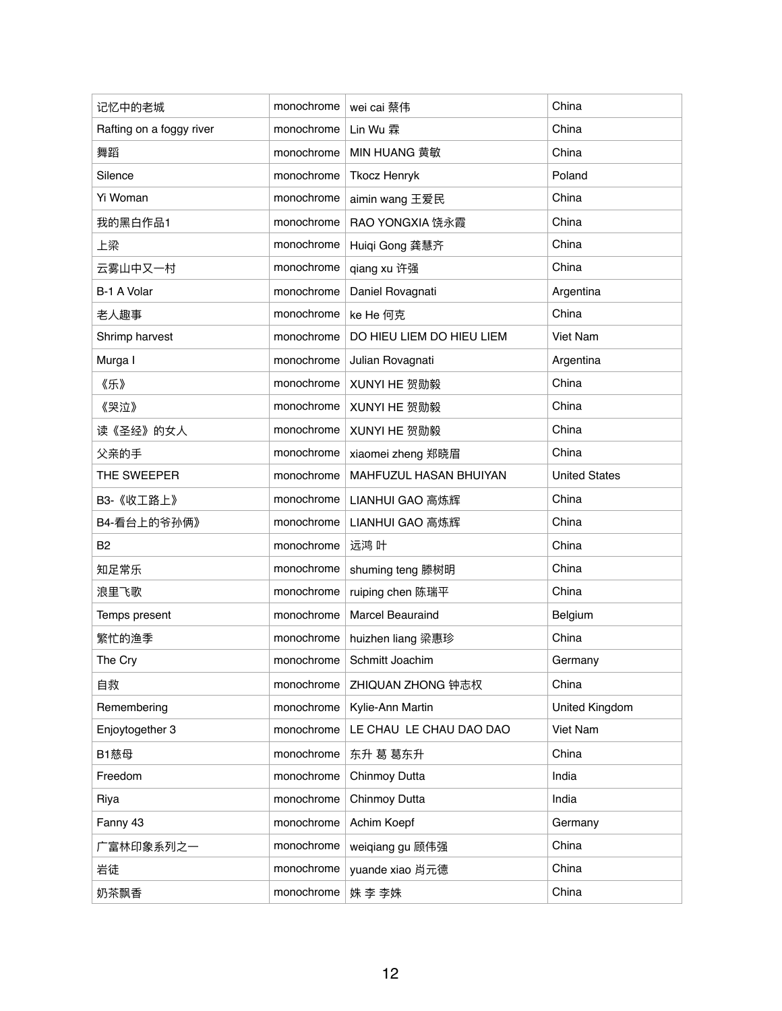| 记忆中的老城                   | monochrome | wei cai 蔡伟                | China                 |
|--------------------------|------------|---------------------------|-----------------------|
| Rafting on a foggy river | monochrome | Lin Wu 霖                  | China                 |
| 舞蹈                       | monochrome | <b>MIN HUANG 黄敏</b>       | China                 |
| Silence                  | monochrome | <b>Tkocz Henryk</b>       | Poland                |
| Yi Woman                 | monochrome | aimin wang 王爱民            | China                 |
| 我的黑白作品1                  | monochrome | RAO YONGXIA 饶永霞           | China                 |
| 上梁                       | monochrome | Huiqi Gong 龚慧齐            | China                 |
| 云雾山中又一村                  | monochrome | qiang xu 许强               | China                 |
| B-1 A Volar              | monochrome | Daniel Rovagnati          | Argentina             |
| 老人趣事                     | monochrome | ke He 何克                  | China                 |
| Shrimp harvest           | monochrome | DO HIEU LIEM DO HIEU LIEM | Viet Nam              |
| Murga I                  | monochrome | Julian Rovagnati          | Argentina             |
| 《乐》                      | monochrome | XUNYI HE 贺勋毅              | China                 |
| 《哭泣》                     | monochrome | XUNYI HE 贺勋毅              | China                 |
| 读《圣经》的女人                 | monochrome | XUNYI HE 贺勋毅              | China                 |
| 父亲的手                     | monochrome | xiaomei zheng 郑晓眉         | China                 |
| THE SWEEPER              | monochrome | MAHFUZUL HASAN BHUIYAN    | <b>United States</b>  |
| B3-《收工路上》                | monochrome | LIANHUI GAO 高炼辉           | China                 |
| B4-看台上的爷孙俩》              | monochrome | LIANHUI GAO 高炼辉           | China                 |
| <b>B2</b>                | monochrome | 远鸿 叶                      | China                 |
| 知足常乐                     | monochrome | shuming teng 滕树明          | China                 |
| 浪里飞歌                     | monochrome | ruiping chen 陈瑞平          | China                 |
| Temps present            | monochrome | <b>Marcel Beauraind</b>   | Belgium               |
| 繁忙的渔季                    | monochrome | huizhen liang 梁惠珍         | China                 |
| The Cry                  | monochrome | Schmitt Joachim           | Germany               |
| 自救                       | monochrome | ZHIQUAN ZHONG 钟志权         | China                 |
| Remembering              | monochrome | Kylie-Ann Martin          | <b>United Kingdom</b> |
| Enjoytogether 3          | monochrome | LE CHAU LE CHAU DAO DAO   | Viet Nam              |
| B1慈母                     | monochrome | 东升 葛 葛东升                  | China                 |
| Freedom                  | monochrome | Chinmoy Dutta             | India                 |
| Riya                     | monochrome | Chinmoy Dutta             | India                 |
| Fanny 43                 | monochrome | Achim Koepf               | Germany               |
| 广富林印象系列之一                | monochrome | weiqiang gu 顾伟强           | China                 |
| 岩徒                       | monochrome | yuande xiao 肖元德           | China                 |
| 奶茶飘香                     | monochrome | 姝 李 李姝                    | China                 |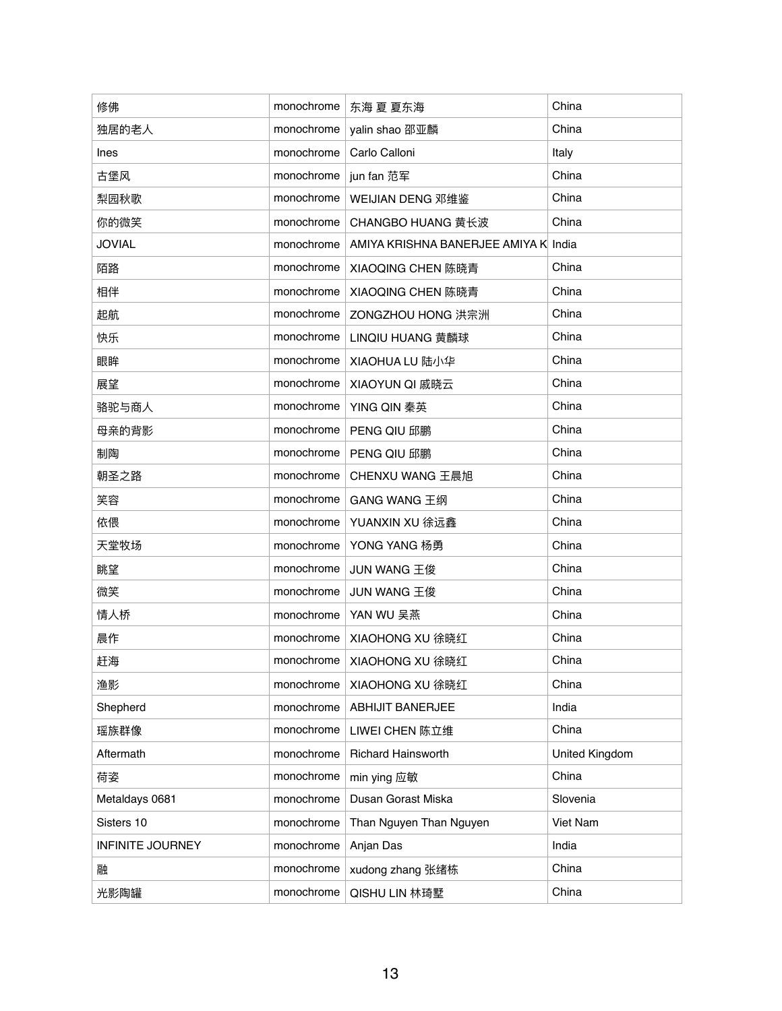| 修佛                      | monochrome | 东海 夏 夏东海                             | China          |
|-------------------------|------------|--------------------------------------|----------------|
| 独居的老人                   | monochrome | yalin shao 邵亚麟                       | China          |
| <b>Ines</b>             | monochrome | Carlo Calloni                        | Italy          |
| 古堡风                     | monochrome | jun fan 范军                           | China          |
| 梨园秋歌                    | monochrome | WEIJIAN DENG 邓维鉴                     | China          |
| 你的微笑                    | monochrome | CHANGBO HUANG 黄长波                    | China          |
| <b>JOVIAL</b>           | monochrome | AMIYA KRISHNA BANERJEE AMIYA K India |                |
| 陌路                      | monochrome | XIAOQING CHEN 陈晓青                    | China          |
| 相伴                      | monochrome | XIAOQING CHEN 陈晓青                    | China          |
| 起航                      | monochrome | ZONGZHOU HONG 洪宗洲                    | China          |
| 快乐                      | monochrome | LINQIU HUANG 黄麟球                     | China          |
| 眼眸                      | monochrome | XIAOHUA LU 陆小华                       | China          |
| 展望                      | monochrome | XIAOYUN QI 戚晓云                       | China          |
| 骆驼与商人                   | monochrome | YING QIN 秦英                          | China          |
| 母亲的背影                   | monochrome | <b>PENG QIU 邱鹏</b>                   | China          |
| 制陶                      | monochrome | <b>PENG QIU 邱鹏</b>                   | China          |
| 朝圣之路                    | monochrome | CHENXU WANG 王晨旭                      | China          |
| 笑容                      | monochrome | <b>GANG WANG 王纲</b>                  | China          |
| 依偎                      | monochrome | YUANXIN XU 徐远鑫                       | China          |
| 天堂牧场                    | monochrome | YONG YANG 杨勇                         | China          |
| 眺望                      | monochrome | JUN WANG 王俊                          | China          |
| 微笑                      | monochrome | JUN WANG 王俊                          | China          |
| 情人桥                     | monochrome | YAN WU 吴燕                            | China          |
| 晨作                      | monochrome | XIAOHONG XU 徐晓红                      | China          |
| 赶海                      | monochrome | XIAOHONG XU 徐晓红                      | China          |
| 渔影                      | monochrome | XIAOHONG XU 徐晓红                      | China          |
| Shepherd                | monochrome | <b>ABHIJIT BANERJEE</b>              | India          |
| 瑶族群像                    | monochrome | LIWEI CHEN 陈立维                       | China          |
| Aftermath               | monochrome | <b>Richard Hainsworth</b>            | United Kingdom |
| 荷姿                      | monochrome | min ying 应敏                          | China          |
| Metaldays 0681          | monochrome | Dusan Gorast Miska                   | Slovenia       |
| Sisters 10              | monochrome | Than Nguyen Than Nguyen              | Viet Nam       |
| <b>INFINITE JOURNEY</b> | monochrome | Anjan Das                            | India          |
| 融                       | monochrome | xudong zhang 张绪栋                     | China          |
| 光影陶罐                    | monochrome | QISHU LIN 林琦墅                        | China          |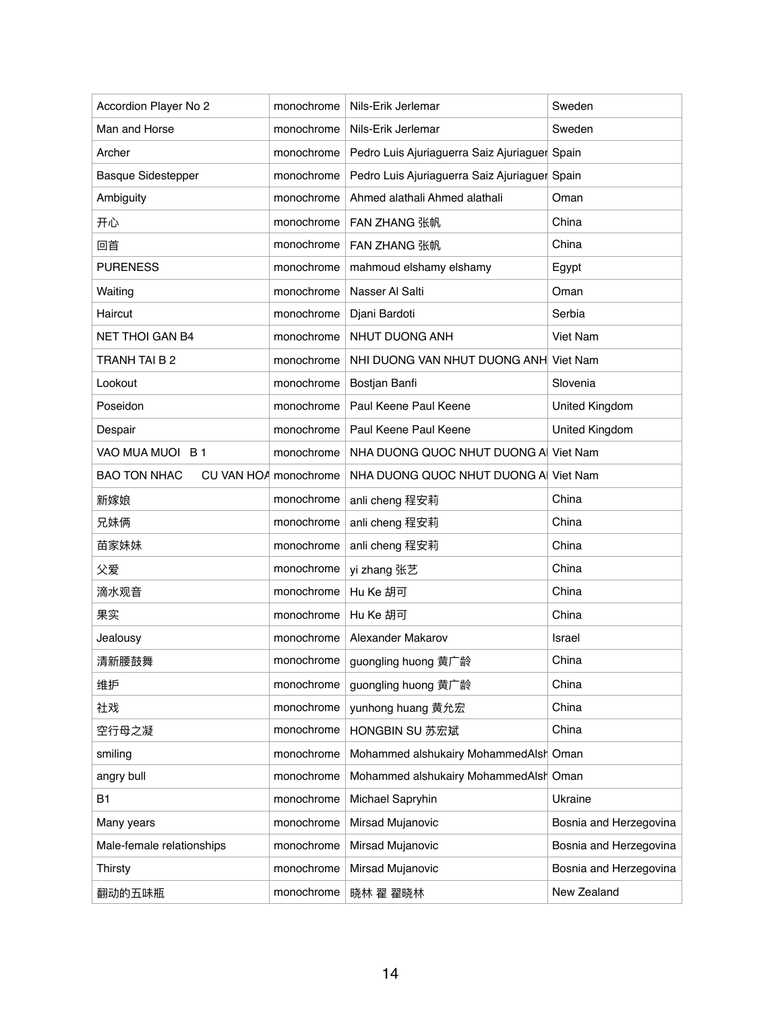| Accordion Player No 2     | monochrome            | Nils-Erik Jerlemar                            | Sweden                 |
|---------------------------|-----------------------|-----------------------------------------------|------------------------|
| Man and Horse             | monochrome            | Nils-Erik Jerlemar                            | Sweden                 |
| Archer                    | monochrome            | Pedro Luis Ajuriaguerra Saiz Ajuriaguer Spain |                        |
| <b>Basque Sidestepper</b> | monochrome            | Pedro Luis Ajuriaguerra Saiz Ajuriaguer Spain |                        |
| Ambiguity                 | monochrome            | Ahmed alathali Ahmed alathali                 | Oman                   |
| 开心                        | monochrome            | <b>FAN ZHANG 张帆</b>                           | China                  |
| 回首                        | monochrome            | FAN ZHANG 张帆                                  | China                  |
| <b>PURENESS</b>           | monochrome            | mahmoud elshamy elshamy                       | Egypt                  |
| Waiting                   | monochrome            | Nasser Al Salti                               | Oman                   |
| Haircut                   | monochrome            | Djani Bardoti                                 | Serbia                 |
| <b>NET THOI GAN B4</b>    | monochrome            | NHUT DUONG ANH                                | Viet Nam               |
| TRANH TAI B 2             | monochrome            | NHI DUONG VAN NHUT DUONG ANH Viet Nam         |                        |
| Lookout                   | monochrome            | Bostjan Banfi                                 | Slovenia               |
| Poseidon                  | monochrome            | Paul Keene Paul Keene                         | United Kingdom         |
| Despair                   | monochrome            | Paul Keene Paul Keene                         | United Kingdom         |
| VAO MUA MUOI B 1          | monochrome            | NHA DUONG QUOC NHUT DUONG A Viet Nam          |                        |
| <b>BAO TON NHAC</b>       | CU VAN HOA monochrome | NHA DUONG QUOC NHUT DUONG A Viet Nam          |                        |
| 新嫁娘                       | monochrome            | anli cheng 程安莉                                | China                  |
| 兄妹俩                       | monochrome            | anli cheng 程安莉                                | China                  |
| 苗家妹妹                      | monochrome            | anli cheng 程安莉                                | China                  |
| 父爱                        | monochrome            | yi zhang 张艺                                   | China                  |
| 滴水观音                      | monochrome            | Hu Ke 胡可                                      | China                  |
| 果实                        | monochrome            | Hu Ke 胡可                                      | China                  |
| Jealousy                  | monochrome            | Alexander Makarov                             | Israel                 |
| 清新腰鼓舞                     | monochrome            | guongling huong 黄广龄                           | China                  |
| 维护                        | monochrome            | guongling huong 黄广龄                           | China                  |
| 社戏                        | monochrome            | yunhong huang 黄允宏                             | China                  |
| 空行母之凝                     | monochrome            | HONGBIN SU 苏宏斌                                | China                  |
| smiling                   | monochrome            | Mohammed alshukairy MohammedAlsh Oman         |                        |
| angry bull                | monochrome            | Mohammed alshukairy MohammedAlsh Oman         |                        |
| <b>B1</b>                 | monochrome            | Michael Sapryhin                              | Ukraine                |
| Many years                | monochrome            | Mirsad Mujanovic                              | Bosnia and Herzegovina |
| Male-female relationships | monochrome            | Mirsad Mujanovic                              | Bosnia and Herzegovina |
| <b>Thirsty</b>            | monochrome            | Mirsad Mujanovic                              | Bosnia and Herzegovina |
| 翻动的五味瓶                    | monochrome            | 晓林 翟 翟晓林                                      | New Zealand            |